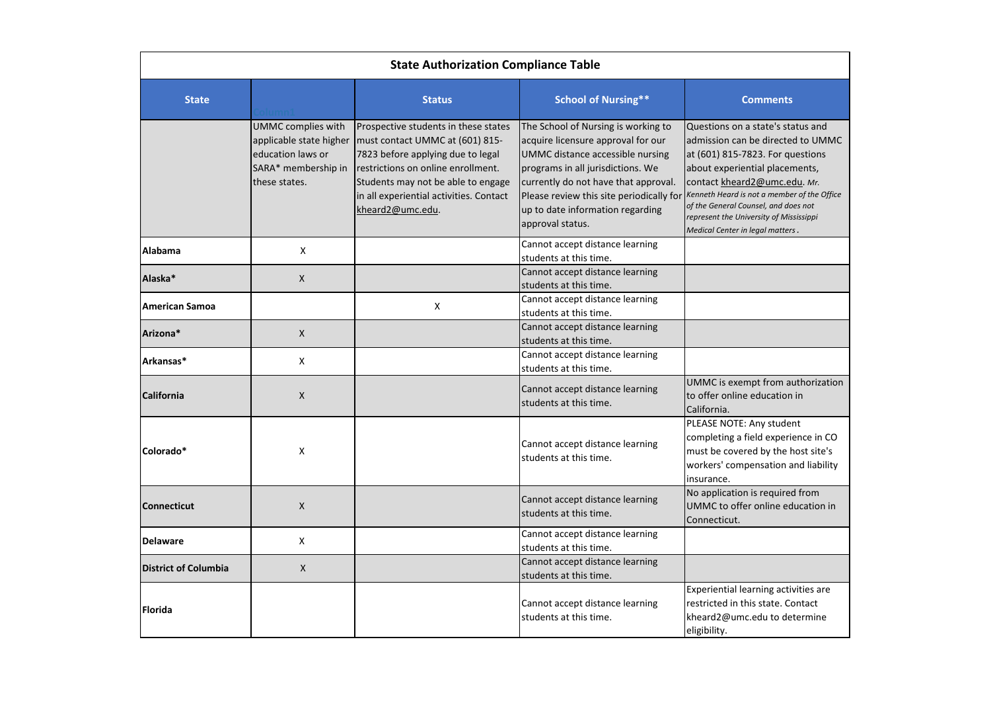| <b>State Authorization Compliance Table</b> |                                                                                                            |                                                                                                                                                                                                                                                         |                                                                                                                                                                                                                                                                                                |                                                                                                                                                                                                                                                                                                                                                    |
|---------------------------------------------|------------------------------------------------------------------------------------------------------------|---------------------------------------------------------------------------------------------------------------------------------------------------------------------------------------------------------------------------------------------------------|------------------------------------------------------------------------------------------------------------------------------------------------------------------------------------------------------------------------------------------------------------------------------------------------|----------------------------------------------------------------------------------------------------------------------------------------------------------------------------------------------------------------------------------------------------------------------------------------------------------------------------------------------------|
| <b>State</b>                                |                                                                                                            | <b>Status</b>                                                                                                                                                                                                                                           | <b>School of Nursing**</b>                                                                                                                                                                                                                                                                     | <b>Comments</b>                                                                                                                                                                                                                                                                                                                                    |
|                                             | UMMC complies with<br>applicable state higher<br>education laws or<br>SARA* membership in<br>these states. | Prospective students in these states<br>must contact UMMC at (601) 815-<br>7823 before applying due to legal<br>restrictions on online enrollment.<br>Students may not be able to engage<br>in all experiential activities. Contact<br>kheard2@umc.edu. | The School of Nursing is working to<br>acquire licensure approval for our<br>UMMC distance accessible nursing<br>programs in all jurisdictions. We<br>currently do not have that approval.<br>Please review this site periodically for<br>up to date information regarding<br>approval status. | Questions on a state's status and<br>admission can be directed to UMMC<br>at (601) 815-7823. For questions<br>about experiential placements,<br>contact kheard2@umc.edu. Mr.<br>Kenneth Heard is not a member of the Office<br>of the General Counsel, and does not<br>represent the University of Mississippi<br>Medical Center in legal matters. |
| Alabama                                     | X                                                                                                          |                                                                                                                                                                                                                                                         | Cannot accept distance learning<br>students at this time.                                                                                                                                                                                                                                      |                                                                                                                                                                                                                                                                                                                                                    |
| Alaska*                                     | X                                                                                                          |                                                                                                                                                                                                                                                         | Cannot accept distance learning<br>students at this time.                                                                                                                                                                                                                                      |                                                                                                                                                                                                                                                                                                                                                    |
| American Samoa                              |                                                                                                            | X                                                                                                                                                                                                                                                       | Cannot accept distance learning<br>students at this time.                                                                                                                                                                                                                                      |                                                                                                                                                                                                                                                                                                                                                    |
| Arizona*                                    | X                                                                                                          |                                                                                                                                                                                                                                                         | Cannot accept distance learning<br>students at this time.                                                                                                                                                                                                                                      |                                                                                                                                                                                                                                                                                                                                                    |
| Arkansas*                                   | X                                                                                                          |                                                                                                                                                                                                                                                         | Cannot accept distance learning<br>students at this time.                                                                                                                                                                                                                                      |                                                                                                                                                                                                                                                                                                                                                    |
| <b>California</b>                           | $\pmb{\mathsf{X}}$                                                                                         |                                                                                                                                                                                                                                                         | Cannot accept distance learning<br>students at this time.                                                                                                                                                                                                                                      | UMMC is exempt from authorization<br>to offer online education in<br>California.                                                                                                                                                                                                                                                                   |
| Colorado*                                   | Χ                                                                                                          |                                                                                                                                                                                                                                                         | Cannot accept distance learning<br>students at this time.                                                                                                                                                                                                                                      | PLEASE NOTE: Any student<br>completing a field experience in CO<br>must be covered by the host site's<br>workers' compensation and liability<br>Insurance.                                                                                                                                                                                         |
| <b>Connecticut</b>                          | X                                                                                                          |                                                                                                                                                                                                                                                         | Cannot accept distance learning<br>students at this time.                                                                                                                                                                                                                                      | No application is required from<br>UMMC to offer online education in<br>Connecticut.                                                                                                                                                                                                                                                               |
| <b>Delaware</b>                             | X                                                                                                          |                                                                                                                                                                                                                                                         | Cannot accept distance learning<br>students at this time.                                                                                                                                                                                                                                      |                                                                                                                                                                                                                                                                                                                                                    |
| <b>District of Columbia</b>                 | X                                                                                                          |                                                                                                                                                                                                                                                         | Cannot accept distance learning<br>students at this time.                                                                                                                                                                                                                                      |                                                                                                                                                                                                                                                                                                                                                    |
| Florida                                     |                                                                                                            |                                                                                                                                                                                                                                                         | Cannot accept distance learning<br>students at this time.                                                                                                                                                                                                                                      | Experiential learning activities are<br>restricted in this state. Contact<br>kheard2@umc.edu to determine<br>eligibility.                                                                                                                                                                                                                          |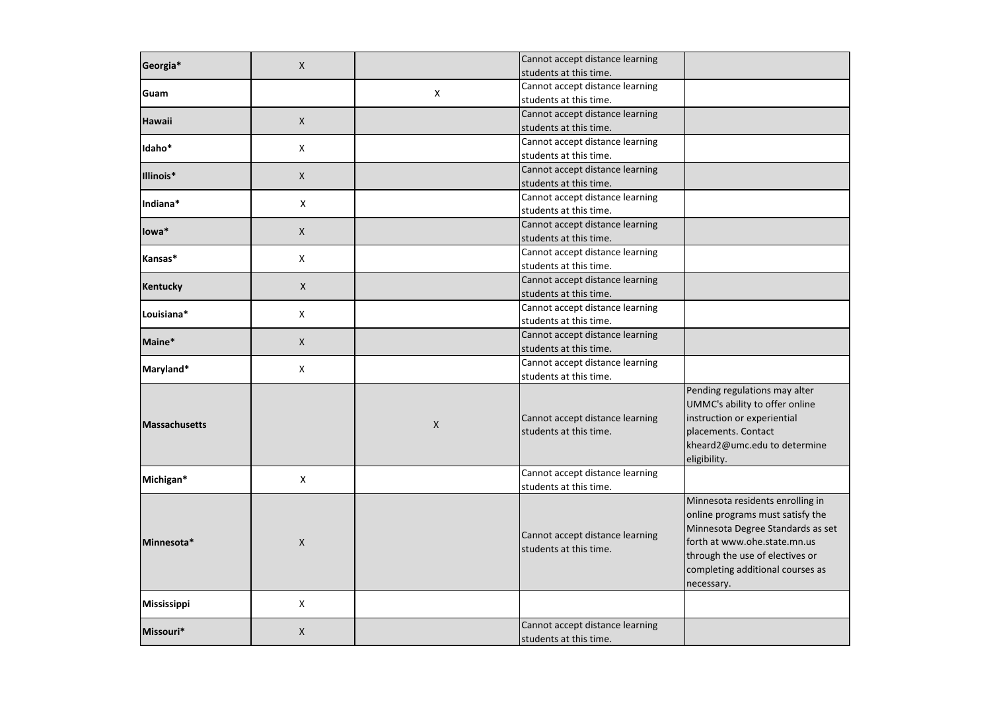| Georgia*             | X                  |              | Cannot accept distance learning<br>students at this time. |                                                                                                                                                                                                                                |
|----------------------|--------------------|--------------|-----------------------------------------------------------|--------------------------------------------------------------------------------------------------------------------------------------------------------------------------------------------------------------------------------|
| Guam                 |                    | X            | Cannot accept distance learning<br>students at this time. |                                                                                                                                                                                                                                |
| <b>Hawaii</b>        | X                  |              | Cannot accept distance learning<br>students at this time. |                                                                                                                                                                                                                                |
| Idaho*               | X                  |              | Cannot accept distance learning<br>students at this time. |                                                                                                                                                                                                                                |
| Illinois*            | X                  |              | Cannot accept distance learning<br>students at this time. |                                                                                                                                                                                                                                |
| Indiana*             | X                  |              | Cannot accept distance learning<br>students at this time. |                                                                                                                                                                                                                                |
| lowa*                | X                  |              | Cannot accept distance learning<br>students at this time. |                                                                                                                                                                                                                                |
| Kansas*              | Χ                  |              | Cannot accept distance learning<br>students at this time. |                                                                                                                                                                                                                                |
| <b>Kentucky</b>      | $\mathsf{X}$       |              | Cannot accept distance learning<br>students at this time. |                                                                                                                                                                                                                                |
| Louisiana*           | Χ                  |              | Cannot accept distance learning<br>students at this time. |                                                                                                                                                                                                                                |
| Maine*               | $\pmb{\mathsf{X}}$ |              | Cannot accept distance learning<br>students at this time. |                                                                                                                                                                                                                                |
| Maryland*            | X                  |              | Cannot accept distance learning<br>students at this time. |                                                                                                                                                                                                                                |
| <b>Massachusetts</b> |                    | $\mathsf{X}$ | Cannot accept distance learning<br>students at this time. | Pending regulations may alter<br>UMMC's ability to offer online<br>instruction or experiential<br>placements. Contact<br>kheard2@umc.edu to determine<br>eligibility.                                                          |
| Michigan*            | X.                 |              | Cannot accept distance learning<br>students at this time. |                                                                                                                                                                                                                                |
| Minnesota*           | $\pmb{\mathsf{X}}$ |              | Cannot accept distance learning<br>students at this time. | Minnesota residents enrolling in<br>online programs must satisfy the<br>Minnesota Degree Standards as set<br>forth at www.ohe.state.mn.us<br>through the use of electives or<br>completing additional courses as<br>necessary. |
| <b>Mississippi</b>   | X                  |              |                                                           |                                                                                                                                                                                                                                |
| Missouri*            | $\mathsf{X}$       |              | Cannot accept distance learning<br>students at this time. |                                                                                                                                                                                                                                |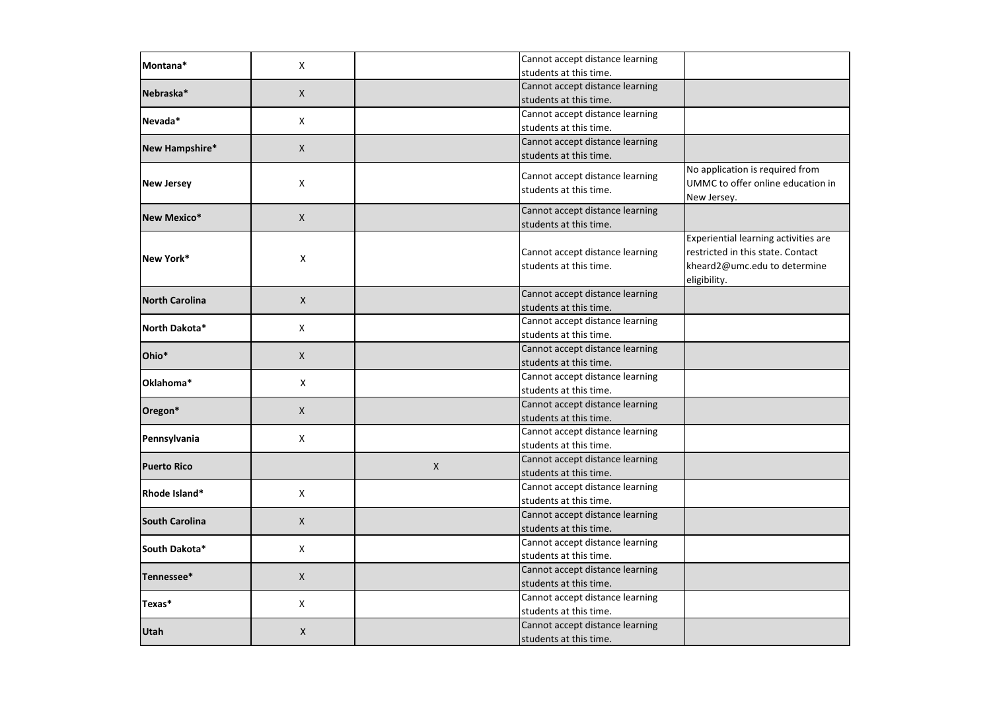| Montana*              | X                         |              | Cannot accept distance learning<br>students at this time. |                                                                                                                           |
|-----------------------|---------------------------|--------------|-----------------------------------------------------------|---------------------------------------------------------------------------------------------------------------------------|
| Nebraska*             | X                         |              | Cannot accept distance learning<br>students at this time. |                                                                                                                           |
| Nevada*               | Χ                         |              | Cannot accept distance learning<br>students at this time. |                                                                                                                           |
| New Hampshire*        | X                         |              | Cannot accept distance learning<br>students at this time. |                                                                                                                           |
| <b>New Jersey</b>     | X                         |              | Cannot accept distance learning<br>students at this time. | No application is required from<br>UMMC to offer online education in<br>New Jersey.                                       |
| <b>New Mexico*</b>    | X                         |              | Cannot accept distance learning<br>students at this time. |                                                                                                                           |
| New York*             | X                         |              | Cannot accept distance learning<br>students at this time. | Experiential learning activities are<br>restricted in this state. Contact<br>kheard2@umc.edu to determine<br>eligibility. |
| <b>North Carolina</b> | $\mathsf{X}$              |              | Cannot accept distance learning<br>students at this time. |                                                                                                                           |
| North Dakota*         | X                         |              | Cannot accept distance learning<br>students at this time. |                                                                                                                           |
| Ohio*                 | X                         |              | Cannot accept distance learning<br>students at this time. |                                                                                                                           |
| Oklahoma*             | $\boldsymbol{\mathsf{X}}$ |              | Cannot accept distance learning<br>students at this time. |                                                                                                                           |
| Oregon*               | X                         |              | Cannot accept distance learning<br>students at this time. |                                                                                                                           |
| Pennsylvania          | X                         |              | Cannot accept distance learning<br>students at this time. |                                                                                                                           |
| <b>Puerto Rico</b>    |                           | $\mathsf{X}$ | Cannot accept distance learning<br>students at this time. |                                                                                                                           |
| Rhode Island*         | X                         |              | Cannot accept distance learning<br>students at this time. |                                                                                                                           |
| <b>South Carolina</b> | X                         |              | Cannot accept distance learning<br>students at this time. |                                                                                                                           |
| South Dakota*         | X                         |              | Cannot accept distance learning<br>students at this time. |                                                                                                                           |
| Tennessee*            | X                         |              | Cannot accept distance learning<br>students at this time. |                                                                                                                           |
| Texas*                | X                         |              | Cannot accept distance learning<br>students at this time. |                                                                                                                           |
| <b>Utah</b>           | $\pmb{\times}$            |              | Cannot accept distance learning<br>students at this time. |                                                                                                                           |